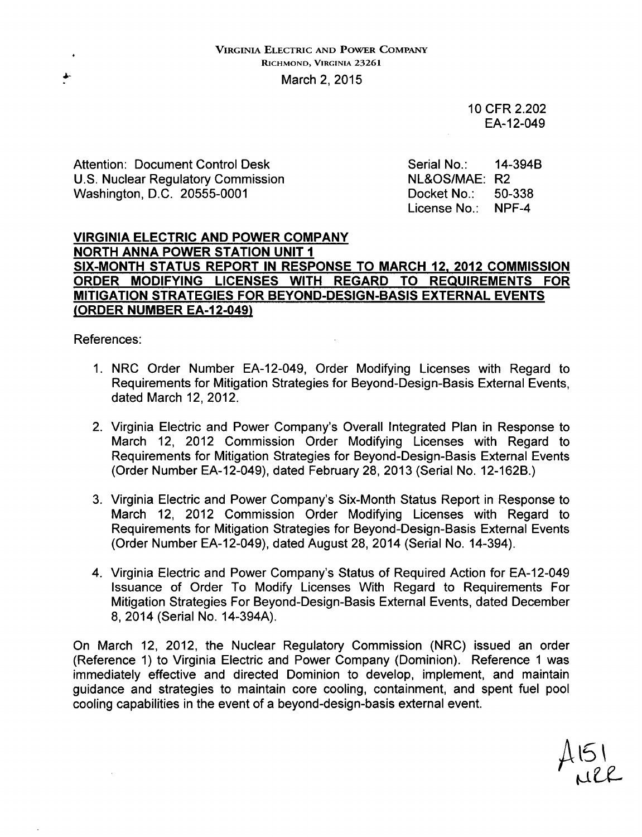10 CFR 2.202 EA-12-049

Attention: Document Control Desk Serial No.: 14-394B<br>
U.S. Nuclear Regulatory Commission NE&OS/MAE: R2 U.S. Nuclear Regulatory Commission Washington, D.C. 20555-0001 Docket No.: 50-338

License No.: NPF-4

#### VIRGINIA ELECTRIC **AND** POWER COMPANY NORTH **ANNA** POWER **STATION UNIT I SIX-MONTH STATUS** REPORT **IN RESPONSE** TO MARCH 12, 2012 **COMMISSION** ORDER **MODIFYING LICENSES** WITH REGARD TO **REQUIREMENTS** FOR **MITIGATION STRATEGIES** FOR **BEYOND-DESIGN-BASIS** EXTERNAL **EVENTS** (ORDER **NUMBER** EA-12-049)

References:

- 1. NRC Order Number EA-12-049, Order Modifying Licenses with Regard to Requirements for Mitigation Strategies for Beyond-Design-Basis External Events, dated March 12, 2012.
- 2. Virginia Electric and Power Company's Overall Integrated Plan in Response to March 12, 2012 Commission Order Modifying Licenses with Regard to Requirements for Mitigation Strategies for Beyond-Design-Basis External Events (Order Number EA-12-049), dated February 28, 2013 (Serial No. 12-162B.)
- 3. Virginia Electric and Power Company's Six-Month Status Report in Response to March 12, 2012 Commission Order Modifying Licenses with Regard to Requirements for Mitigation Strategies for Beyond-Design-Basis External Events (Order Number EA-12-049), dated August 28, 2014 (Serial No. 14-394).
- 4. Virginia Electric and Power Company's Status of Required Action for EA-12-049 Issuance of Order To Modify Licenses With Regard to Requirements For Mitigation Strategies For Beyond-Design-Basis External Events, dated December 8, 2014 (Serial No. 14-394A).

On March 12, 2012, the Nuclear Regulatory Commission (NRC) issued an order (Reference 1) to Virginia Electric and Power Company (Dominion). Reference 1 was immediately effective and directed Dominion to develop, implement, and maintain guidance and strategies to maintain core cooling, containment, and spent fuel pool cooling capabilities in the event of a beyond-design-basis external event.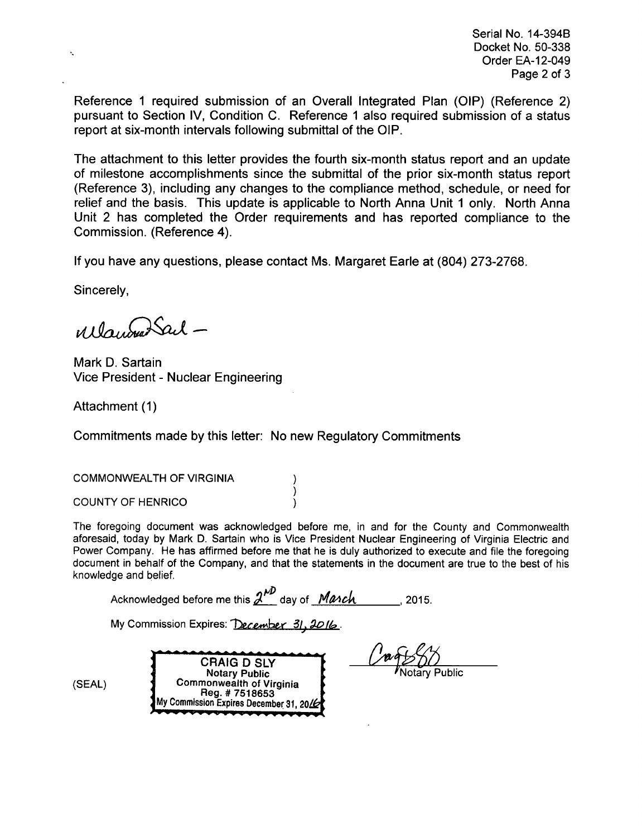Serial No. 14-394B Docket No. 50-338 Order EA-12-049 Page 2 of 3

Reference 1 required submission of an Overall Integrated Plan (OIP) (Reference 2) pursuant to Section IV, Condition C. Reference **1** also required submission of a status report at six-month intervals following submittal of the OIP.

The attachment to this letter provides the fourth six-month status report and an update of milestone accomplishments since the submittal of the prior six-month status report (Reference 3), including any changes to the compliance method, schedule, or need for relief and the basis. This update is applicable to North Anna Unit 1 only. North Anna Unit 2 has completed the Order requirements and has reported compliance to the Commission. (Reference 4).

If you have any questions, please contact Ms. Margaret Earle at (804) 273-2768.

Sincerely,

Wayburn Sail -

Mark D. Sartain Vice President - Nuclear Engineering

Attachment (1)

Commitments made by this letter: No new Regulatory Commitments

١ )

COMMONWEALTH OF VIRGINIA

COUNTY OF HENRICO (1999)

The foregoing document was acknowledged before me, in and for the County and Commonwealth aforesaid, today by Mark D. Sartain who is Vice President Nuclear Engineering of Virginia Electric and Power Company. He has affirmed before me that he is duly authorized to execute and file the foregoing document in behalf of the Company, and that the statements in the document are true to the best of his knowledge and belief.

Acknowledged before me this  $\frac{\lambda^{AD}}{2}$  day of *Manch* 2015.

My Commission Expires: *December 31, 2016*.

**CRAIG D SLY Notary Public** (SEAL) **Commonwealth of Virginia**<br>Reg. # 7518653 My Commission Expires December 31, 20/6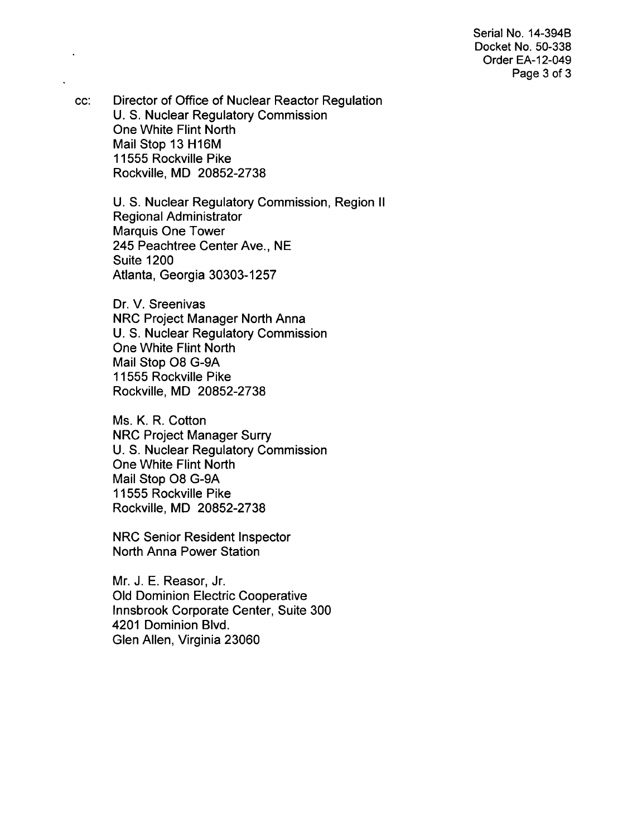Serial No. 14-394B Docket No. 50-338 Order EA-12-049 Page 3 of **3**

cc: Director of Office of Nuclear Reactor Regulation U. S. Nuclear Regulatory Commission One White Flint North Mail Stop 13 H16M 11555 Rockville Pike Rockville, MD 20852-2738

> U. S. Nuclear Regulatory Commission, Region II Regional Administrator Marquis One Tower 245 Peachtree Center Ave., NE Suite 1200 Atlanta, Georgia 30303-1257

Dr. V. Sreenivas NRC Project Manager North Anna U. S. Nuclear Regulatory Commission One White Flint North Mail Stop 08 G-9A 11555 Rockville Pike Rockville, MD 20852-2738

Ms. K. R. Cotton NRC Project Manager Surry U. S. Nuclear Regulatory Commission One White Flint North Mail Stop 08 G-9A 11555 Rockville Pike Rockville, MD 20852-2738

NRC Senior Resident Inspector North Anna Power Station

Mr. J. E. Reasor, Jr. Old Dominion Electric Cooperative Innsbrook Corporate Center, Suite 300 4201 Dominion Blvd. Glen Allen, Virginia 23060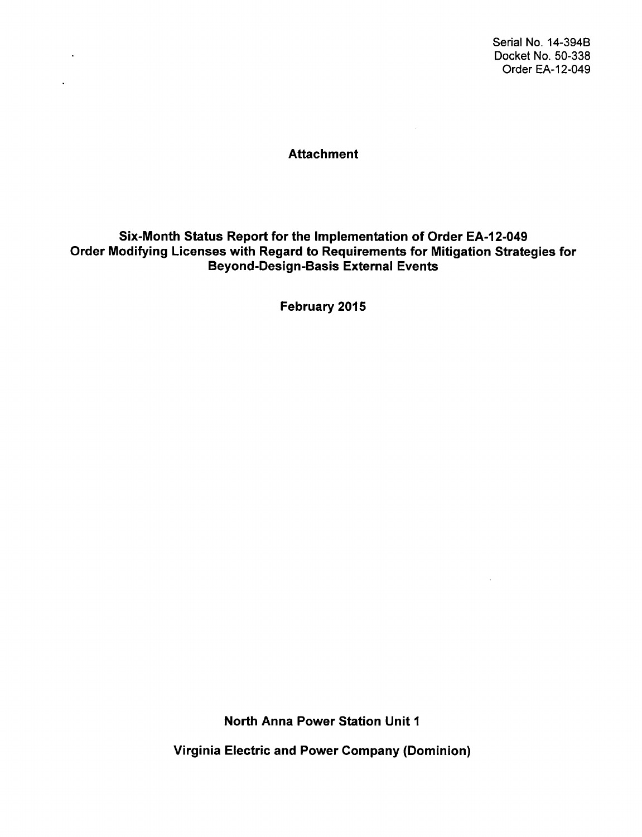Serial No. 14-394B Docket No. 50-338 Order EA-12-049

 $\sim 10^7$ 

#### Attachment

 $\sim 10^{-11}$ 

 $\mathbf{v}^{\prime}$ 

 $\mathcal{L}^{\text{max}}$  and  $\mathcal{L}^{\text{max}}$ 

## Six-Month Status Report for the Implementation of Order EA-12-049 Order Modifying Licenses with Regard to Requirements for Mitigation Strategies for Beyond-Design-Basis External Events

February 2015

North Anna Power Station Unit **I**

Virginia Electric and Power Company (Dominion)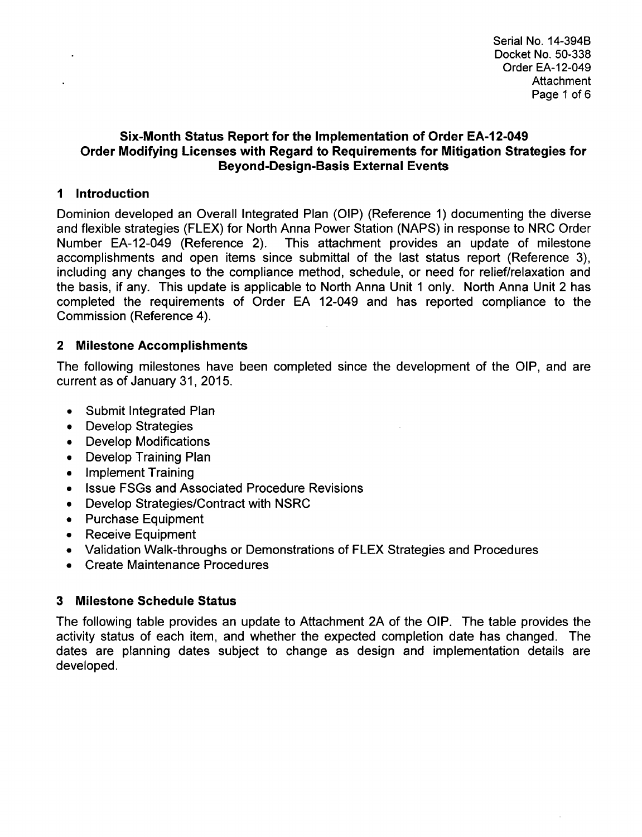### Six-Month Status Report for the Implementation of Order **EA-12-049** Order Modifying Licenses with Regard to Requirements for Mitigation Strategies for Beyond-Design-Basis External Events

## **1** Introduction

 $\ddot{\phantom{a}}$ 

Dominion developed an Overall Integrated Plan (OIP) (Reference 1) documenting the diverse and flexible strategies (FLEX) for North Anna Power Station (NAPS) in response to NRC Order Number EA-12-049 (Reference 2). This attachment provides an update of milestone accomplishments and open items since submittal of the last status report (Reference 3), including any changes to the compliance method, schedule, or need for relief/relaxation and the basis, if any. This update is applicable to North Anna Unit **1** only. North Anna Unit 2 has completed the requirements of Order EA 12-049 and has reported compliance to the Commission (Reference 4).

# 2 Milestone Accomplishments

The following milestones have been completed since the development of the OIP, and are current as of January 31, 2015.

- Submit Integrated Plan
- Develop Strategies
- **"** Develop Modifications
- Develop Training Plan
- **"** Implement Training
- **"** Issue FSGs and Associated Procedure Revisions
- \* Develop Strategies/Contract with NSRC
- **"** Purchase Equipment
- Receive Equipment
- \* Validation Walk-throughs or Demonstrations of FLEX Strategies and Procedures
- Create Maintenance Procedures

# 3 Milestone Schedule Status

The following table provides an update to Attachment 2A of the OIP. The table provides the activity status of each item, and whether the expected completion date has changed. The dates are planning dates subject to change as design and implementation details are developed.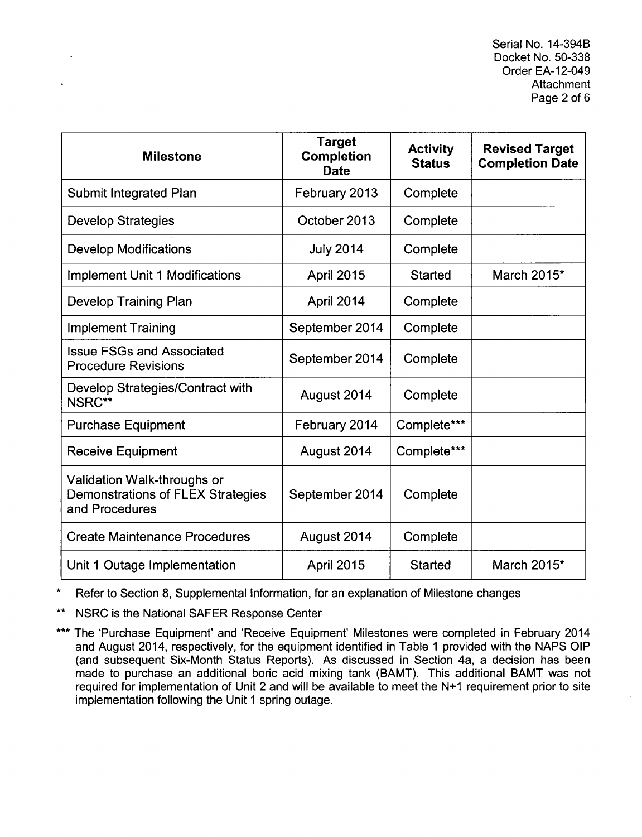Serial No. 14-394B Docket No. 50-338 Order EA-12-049 **Attachment** Page 2 of 6

| <b>Milestone</b>                                                                          | <b>Target</b><br><b>Completion</b><br><b>Date</b> | <b>Activity</b><br><b>Status</b> | <b>Revised Target</b><br><b>Completion Date</b> |
|-------------------------------------------------------------------------------------------|---------------------------------------------------|----------------------------------|-------------------------------------------------|
| <b>Submit Integrated Plan</b>                                                             | February 2013                                     | Complete                         |                                                 |
| <b>Develop Strategies</b>                                                                 | October 2013                                      | Complete                         |                                                 |
| <b>Develop Modifications</b>                                                              | <b>July 2014</b>                                  | Complete                         |                                                 |
| <b>Implement Unit 1 Modifications</b>                                                     | April 2015                                        | <b>Started</b>                   | March 2015*                                     |
| <b>Develop Training Plan</b>                                                              | April 2014                                        | Complete                         |                                                 |
| <b>Implement Training</b>                                                                 | September 2014                                    | Complete                         |                                                 |
| <b>Issue FSGs and Associated</b><br><b>Procedure Revisions</b>                            | September 2014                                    | Complete                         |                                                 |
| Develop Strategies/Contract with<br>NSRC**                                                | August 2014                                       | Complete                         |                                                 |
| <b>Purchase Equipment</b>                                                                 | February 2014                                     | Complete***                      |                                                 |
| <b>Receive Equipment</b>                                                                  | August 2014                                       | Complete***                      |                                                 |
| Validation Walk-throughs or<br><b>Demonstrations of FLEX Strategies</b><br>and Procedures | September 2014                                    | Complete                         |                                                 |
| <b>Create Maintenance Procedures</b>                                                      | August 2014                                       | Complete                         |                                                 |
| Unit 1 Outage Implementation                                                              | <b>April 2015</b>                                 | <b>Started</b>                   | March 2015*                                     |

\* Refer to Section 8, Supplemental Information, for an explanation of Milestone changes

\*\* NSRC is the National SAFER Response Center

\*\*\* The 'Purchase Equipment' and 'Receive Equipment' Milestones were completed in February 2014 and August 2014, respectively, for the equipment identified in Table 1 provided with the NAPS OIP (and subsequent Six-Month Status Reports). As discussed in Section 4a, a decision has been made to purchase an additional boric acid mixing tank (BAMT). This additional BAMT was not required for implementation of Unit 2 and will be available to meet the **N+1** requirement prior to site implementation following the Unit 1 spring outage.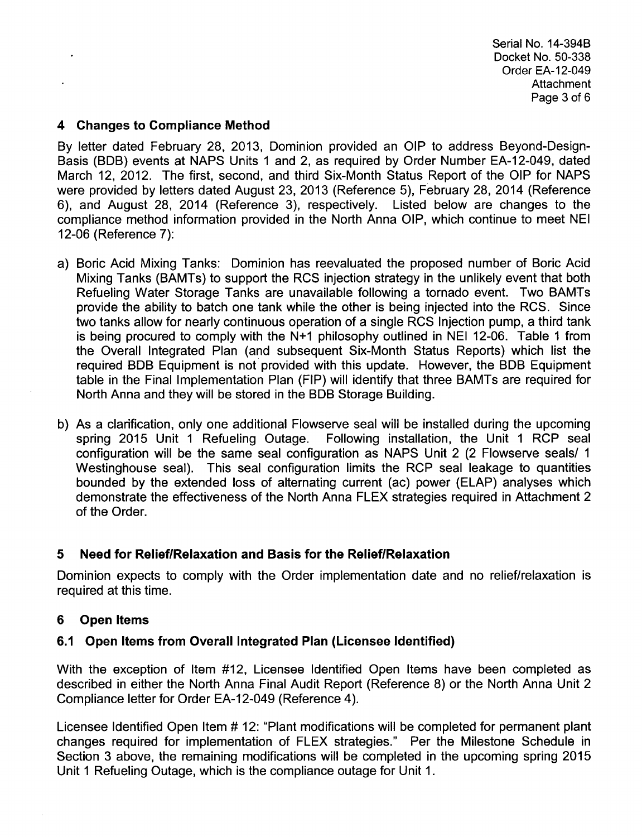Serial No. 14-394B Docket No. 50-338 Order EA-12-049 **Attachment** Page 3 of 6

#### 4 Changes to Compliance Method

By letter dated February 28, 2013, Dominion provided an OIP to address Beyond-Design-Basis (BDB) events at NAPS Units 1 and 2, as required by Order Number EA-12-049, dated March 12, 2012. The first, second, and third Six-Month Status Report of the OIP for NAPS were provided by letters dated August 23, 2013 (Reference 5), February 28, 2014 (Reference 6), and August 28, 2014 (Reference 3), respectively. Listed below are changes to the compliance method information provided in the North Anna OIP, which continue to meet NEI 12-06 (Reference 7):

- a) Boric Acid Mixing Tanks: Dominion has reevaluated the proposed number of Boric Acid Mixing Tanks (BAMTs) to support the RCS injection strategy in the unlikely event that both Refueling Water Storage Tanks are unavailable following a tornado event. Two BAMTs provide the ability to batch one tank while the other is being injected into the RCS. Since two tanks allow for nearly continuous operation of a single RCS Injection pump, a third tank is being procured to comply with the **N+1** philosophy outlined in NEI 12-06. Table 1 from the Overall Integrated Plan (and subsequent Six-Month Status Reports) which list the required BDB Equipment is not provided with this update. However, the BDB Equipment table in the Final Implementation Plan (FIP) will identify that three BAMTs are required for North Anna and they will be stored in the BDB Storage Building.
- b) As a clarification, only one additional Flowserve seal will be installed during the upcoming spring 2015 Unit 1 Refueling Outage. Following installation, the Unit 1 RCP seal configuration will be the same seal configuration as NAPS Unit 2 (2 Flowserve seals/ **1** Westinghouse seal). This seal configuration limits the RCP seal leakage to quantities bounded by the extended loss of alternating current (ac) power (ELAP) analyses which demonstrate the effectiveness of the North Anna FLEX strategies required in Attachment 2 of the Order.

### **5** Need for Relief/Relaxation and Basis for the Relief/Relaxation

Dominion expects to comply with the Order implementation date and no relief/relaxation is required at this time.

### **6** Open Items

### **6.1** Open Items from Overall Integrated Plan (Licensee Identified)

With the exception of Item #12, Licensee Identified Open Items have been completed as described in either the North Anna Final Audit Report (Reference 8) or the North Anna Unit 2 Compliance letter for Order EA-12-049 (Reference 4).

Licensee Identified Open Item # 12: "Plant modifications will be completed for permanent plant changes required for implementation of FLEX strategies." Per the Milestone Schedule in Section 3 above, the remaining modifications will be completed in the upcoming spring 2015 Unit 1 Refueling Outage, which is the compliance outage for Unit 1.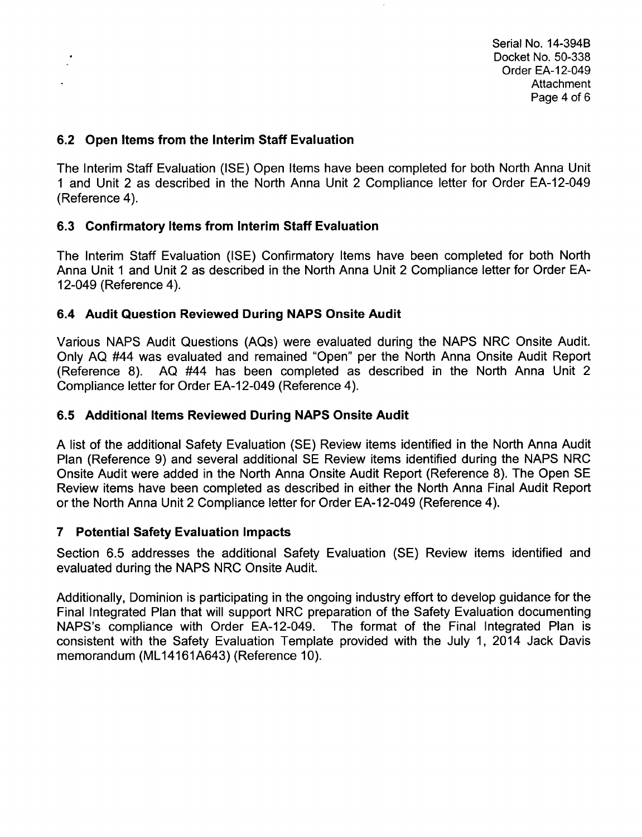Serial No. 14-394B Docket No. 50-338 Order EA-12-049 **Attachment** Page 4 of 6

#### 6.2 Open Items from the Interim Staff Evaluation

The Interim Staff Evaluation (ISE) Open Items have been completed for both North Anna Unit **1** and Unit 2 as described in the North Anna Unit 2 Compliance letter for Order EA-12-049 (Reference 4).

#### **6.3** Confirmatory Items from Interim Staff Evaluation

The Interim Staff Evaluation (ISE) Confirmatory Items have been completed for both North Anna Unit 1 and Unit 2 as described in the North Anna Unit 2 Compliance letter for Order EA-12-049 (Reference 4).

#### 6.4 Audit Question Reviewed During NAPS Onsite Audit

Various NAPS Audit Questions (AQs) were evaluated during the NAPS NRC Onsite Audit. Only AQ #44 was evaluated and remained "Open" per the North Anna Onsite Audit Report (Reference 8). AQ #44 has been completed as described in the North Anna Unit 2 Compliance letter for Order EA-12-049 (Reference 4).

#### **6.5** Additional Items Reviewed During NAPS Onsite Audit

A list of the additional Safety Evaluation (SE) Review items identified in the North Anna Audit Plan (Reference 9) and several additional SE Review items identified during the NAPS NRC Onsite Audit were added in the North Anna Onsite Audit Report (Reference 8). The Open SE Review items have been completed as described in either the North Anna Final Audit Report or the North Anna Unit 2 Compliance letter for Order EA-12-049 (Reference 4).

#### **7** Potential Safety Evaluation Impacts

Section 6.5 addresses the additional Safety Evaluation (SE) Review items identified and evaluated during the NAPS NRC Onsite Audit.

Additionally, Dominion is participating in the ongoing industry effort to develop guidance for the Final Integrated Plan that will support NRC preparation of the Safety Evaluation documenting NAPS's compliance with Order EA-12-049. The format of the Final Integrated Plan is consistent with the Safety Evaluation Template provided with the July 1, 2014 Jack Davis memorandum (ML14161A643) (Reference 10).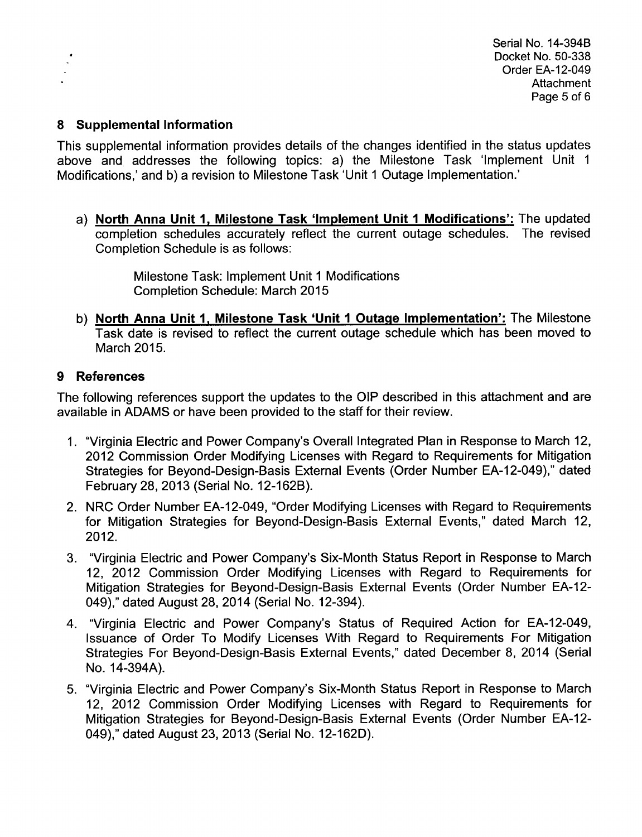#### **8** Supplemental Information

This supplemental information provides details of the changes identified in the status updates above and addresses the following topics: a) the Milestone Task 'Implement Unit 1 Modifications,' and b) a revision to Milestone Task 'Unit **1** Outage Implementation.'

a) North Anna Unit **1,** Milestone Task 'Implement Unit **1** Modifications': The updated completion schedules accurately reflect the current outage schedules. The revised Completion Schedule is as follows:

> Milestone Task: Implement Unit 1 Modifications Completion Schedule: March 2015

b) North Anna Unit **1,** Milestone Task 'Unit **1** Outage Implementation': The Milestone Task date is revised to reflect the current outage schedule which has been moved to March 2015.

### 9 References

The following references support the updates to the OIP described in this attachment and are available in ADAMS or have been provided to the staff for their review.

- 1. "Virginia Electric and Power Company's Overall Integrated Plan in Response to March 12, 2012 Commission Order Modifying Licenses with Regard to Requirements for Mitigation Strategies for Beyond-Design-Basis External Events (Order Number EA-12-049)," dated February 28, 2013 (Serial No. 12-162B).
- 2. NRC Order Number EA-12-049, "Order Modifying Licenses with Regard to Requirements for Mitigation Strategies for Beyond-Design-Basis External Events," dated March 12, 2012.
- 3. "Virginia Electric and Power Company's Six-Month Status Report in Response to March 12, 2012 Commission Order Modifying Licenses with Regard to Requirements for Mitigation Strategies for Beyond-Design-Basis External Events (Order Number EA-12- 049)," dated August 28, 2014 (Serial No. 12-394).
- 4. "Virginia Electric and Power Company's Status of Required Action for EA-12-049, Issuance of Order To Modify Licenses With Regard to Requirements For Mitigation Strategies For Beyond-Design-Basis External Events," dated December 8, 2014 (Serial No. 14-394A).
- 5. "Virginia Electric and Power Company's Six-Month Status Report in Response to March 12, 2012 Commission Order Modifying Licenses with Regard to Requirements for Mitigation Strategies for Beyond-Design-Basis External Events (Order Number EA-12- 049)," dated August 23, 2013 (Serial No. 12-162D).